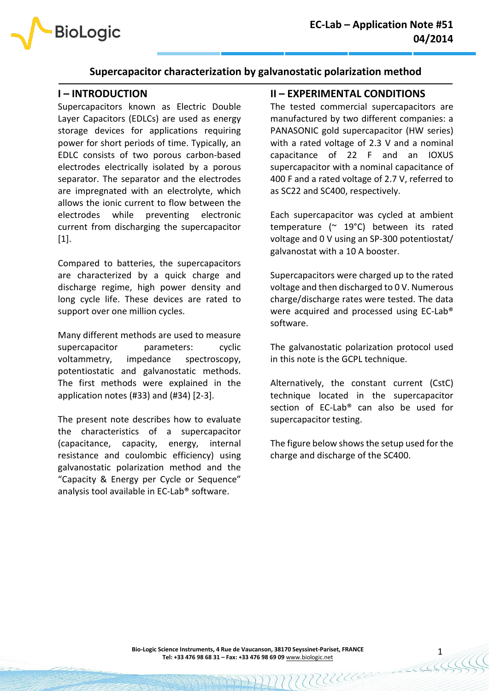

# **Supercapacitor characterization by galvanostatic polarization method**

## **I – INTRODUCTION**

**BioLogic** 

Supercapacitors known as Electric Double Layer Capacitors (EDLCs) are used as energy storage devices for applications requiring power for short periods of time. Typically, an EDLC consists of two porous carbon-based electrodes electrically isolated by a porous separator. The separator and the electrodes are impregnated with an electrolyte, which allows the ionic current to flow between the electrodes while preventing electronic current from discharging the supercapacitor [1].

Compared to batteries, the supercapacitors are characterized by a quick charge and discharge regime, high power density and long cycle life. These devices are rated to support over one million cycles.

Many different methods are used to measure supercapacitor parameters: cyclic voltammetry, impedance spectroscopy, potentiostatic and galvanostatic methods. The first methods were explained in the application notes (#33) and (#34) [2-3].

The present note describes how to evaluate the characteristics of a supercapacitor (capacitance, capacity, energy, internal resistance and coulombic efficiency) using galvanostatic polarization method and the "Capacity & Energy per Cycle or Sequence" analysis tool available in EC-Lab® software.

## **II – EXPERIMENTAL CONDITIONS**

The tested commercial supercapacitors are manufactured by two different companies: a PANASONIC gold supercapacitor (HW series) with a rated voltage of 2.3 V and a nominal capacitance of 22 F and an IOXUS supercapacitor with a nominal capacitance of 400 F and a rated voltage of 2.7 V, referred to as SC22 and SC400, respectively.

Each supercapacitor was cycled at ambient temperature (~ 19°C) between its rated voltage and 0 V using an SP-300 potentiostat/ galvanostat with a 10 A booster.

Supercapacitors were charged up to the rated voltage and then discharged to 0 V. Numerous charge/discharge rates were tested. The data were acquired and processed using EC-Lab® software.

The galvanostatic polarization protocol used in this note is the GCPL technique.

Alternatively, the constant current (CstC) technique located in the supercapacitor section of EC-Lab® can also be used for supercapacitor testing.

The figure below shows the setup used for the charge and discharge of the SC400.

MUUU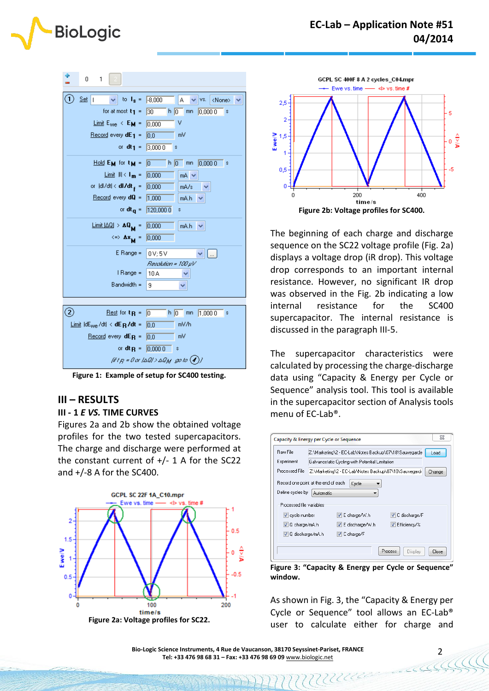

| 1<br>0                                                                               |                                                    |
|--------------------------------------------------------------------------------------|----------------------------------------------------|
| $\mathbf{1}$<br>Set   I<br>$\vee$ to $I_s = -8,000$                                  | А<br>VS.<br><none></none>                          |
| for at most $t_1$ =                                                                  | 30<br>$h$ 0<br>0,0000<br>mn<br>s                   |
| Limit $E_{\text{we}} \leftarrow E_{\text{M}}$ =                                      | v<br>0.000                                         |
| <u>Record</u> every <b>dE</b> <sub>1</sub> =                                         | m٧<br>0.0                                          |
| or $dt_1 =$                                                                          | 3,0000<br>s                                        |
| <u>Hold</u> $E_M$ for $t_M =$                                                        | $\top$ h $\boxed{0}$<br>0,0000<br>lo.<br>mn<br>s   |
| $Lim$ it $   \cdot   _m =$                                                           | 0.000<br>$mA \times$                               |
| or  dl/dt < <b>dl/dt<sub>f</sub> =</b>                                               | 0,000<br>mA/s                                      |
| $\frac{\text{Record}}{\text{every}}$ dQ =                                            | 1.000<br>mA.h                                      |
|                                                                                      | or dt <sub>q</sub> = $\sqrt{120,0000}$<br>s        |
| $\boxed{\text{Limit}[\triangle\mathbb{Q}] \geq \mathbf{A}\mathbf{Q}_{\mathbf{M}}}$ = | 0,000<br>mA.h                                      |
| $\iff$ $\Delta x_{\mathbf{M}}$ =                                                     | 0,000                                              |
| $E$ Range =                                                                          | 0V:5V<br>$\mathbf{v}$ $\mathbf{L}$                 |
|                                                                                      | Resolution = 100 uV                                |
| I Range =                                                                            | 10 A                                               |
| $Bandwidth =$                                                                        | 9                                                  |
|                                                                                      |                                                    |
| $\mathbf{2})$<br><u>Rest</u> for $t_{\rm R}$ =                                       | l0<br>h 0 <br>1,0000<br>mn<br>s                    |
| Limit $ dE_{we}/dt  < dE_R/dt$ =                                                     | mV/h<br>10.0                                       |
| $\frac{Record}{R}$ every dE <sub>R</sub> =                                           | m۷<br>0.0                                          |
| or dt p =                                                                            | 0.0000<br>s                                        |
|                                                                                      | (if $t_B$ = 0 or (4Ql > 4Q <sub>M</sub> go to (4)] |

**Figure 1: Example of setup for SC400 testing.**

## **III – RESULTS**

#### **III - 1** *E VS.* **TIME CURVES**

Figures 2a and 2b show the obtained voltage profiles for the two tested supercapacitors. The charge and discharge were performed at the constant current of  $+/- 1$  A for the SC22 and +/-8 A for the SC400.





The beginning of each charge and discharge sequence on the SC22 voltage profile (Fig. 2a) displays a voltage drop (iR drop). This voltage drop corresponds to an important internal resistance. However, no significant IR drop was observed in the Fig. 2b indicating a low internal resistance for the SC400 supercapacitor. The internal resistance is discussed in the paragraph III-5.

The supercapacitor characteristics were calculated by processing the charge-discharge data using "Capacity & Energy per Cycle or Sequence" analysis tool. This tool is available in the supercapacitor section of Analysis tools menu of EC-Lab®.

| Capacity & Energy per Cycle or Sequence                                             |                                                                 |                           |                    | ΣΖ    |
|-------------------------------------------------------------------------------------|-----------------------------------------------------------------|---------------------------|--------------------|-------|
| Raw File                                                                            | Z:\Marketing\2 - EC-Lab\Notes Backup\07\18\Sauvegarde<br>Load   |                           |                    |       |
| Experiment                                                                          | Galvanostatic Cycling with Potential Limitation                 |                           |                    |       |
| Processed File                                                                      | Z:\Marketing\2 - EC-Lab\Notes Backup\07\18\Sauvegard-<br>Change |                           |                    |       |
| Record one point at the end of each<br>Define cycles by<br>Processed file variables | Automatic                                                       | Cycle                     |                    |       |
| $\triangledown$ cycle number                                                        |                                                                 | $V \mathsf{E}$ charge/W.h | V C discharge/F    |       |
| IV Q charge/mA.h                                                                    |                                                                 | V E discharge/W.h         | V Efficiency/%     |       |
| V Q discharge/mA.h                                                                  |                                                                 | V C charge/F              |                    |       |
|                                                                                     |                                                                 |                           | Process<br>Display | Close |

**Figure 3: "Capacity & Energy per Cycle or Sequence" window.**

As shown in Fig. 3, the "Capacity & Energy per Cycle or Sequence" tool allows an EC-Lab® user to calculate either for charge and

MUUR

2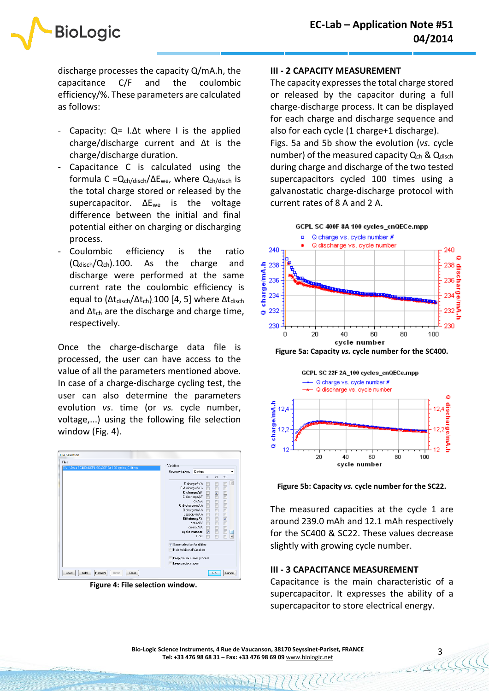discharge processes the capacity Q/mA.h, the capacitance C/F and the coulombic efficiency/%. These parameters are calculated as follows:

**BioLogic** 

- Capacity:  $Q = I \Delta t$  where I is the applied charge/discharge current and Δt is the charge/discharge duration.
- Capacitance C is calculated using the formula C =Qch/disch/ΔEwe, where Qch/disch is the total charge stored or released by the supercapacitor. ΔEwe is the voltage difference between the initial and final potential either on charging or discharging process.
- Coulombic efficiency is the ratio  $(Q_{\text{disch}}/Q_{\text{ch}})$ .100. As the charge and discharge were performed at the same current rate the coulombic efficiency is equal to  $(\Delta t_{\text{disch}}/\Delta t_{\text{ch}})$ .100 [4, 5] where  $\Delta t_{\text{disch}}$ and  $\Delta t_{ch}$  are the discharge and charge time, respectively.

Once the charge-discharge data file is processed, the user can have access to the value of all the parameters mentioned above. In case of a charge-discharge cycling test, the user can also determine the parameters evolution *vs*. time (or *vs.* cycle number, voltage,...) using the following file selection window (Fig. 4).



**Figure 4: File selection window.**

### **III - 2 CAPACITY MEASUREMENT**

The capacity expresses the total charge stored or released by the capacitor during a full charge-discharge process. It can be displayed for each charge and discharge sequence and also for each cycle (1 charge+1 discharge). Figs. 5a and 5b show the evolution (*vs.* cycle number) of the measured capacity  $Q<sub>ch</sub>$  &  $Q<sub>disch</sub>$ during charge and discharge of the two tested supercapacitors cycled 100 times using a galvanostatic charge-discharge protocol with current rates of 8 A and 2 A.



**Figure 5a: Capacity** *vs.* **cycle number for the SC400.**



**Figure 5b: Capacity** *vs.* **cycle number for the SC22.**

The measured capacities at the cycle 1 are around 239.0 mAh and 12.1 mAh respectively for the SC400 & SC22. These values decrease slightly with growing cycle number.

## **III - 3 CAPACITANCE MEASUREMENT**

MUULLE

Capacitance is the main characteristic of a supercapacitor. It expresses the ability of a supercapacitor to store electrical energy.

3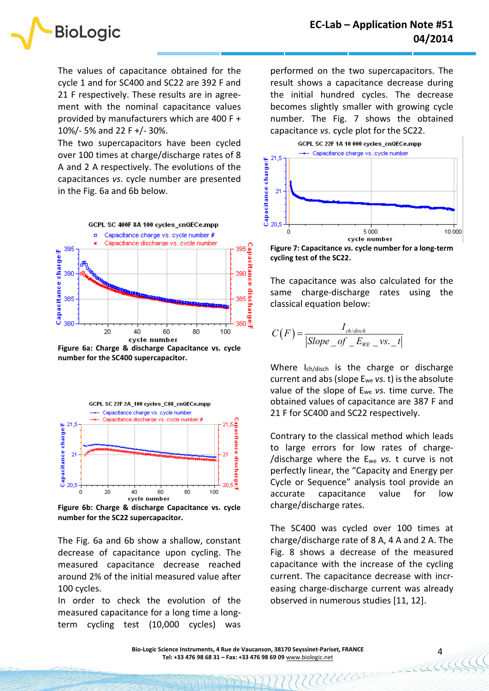

The values of capacitance obtained for the cycle 1 and for SC400 and SC22 are 392 F and 21 F respectively. These results are in agreement with the nominal capacitance values provided by manufacturers which are 400 F + 10%/- 5% and 22 F +/- 30%.

The two supercapacitors have been cycled over 100 times at charge/discharge rates of 8 A and 2 A respectively. The evolutions of the capacitances *vs*. cycle number are presented in the Fig. 6a and 6b below.



**Figure 6a: Charge & discharge Capacitance vs. cycle number for the SC400 supercapacitor.**



**Figure 6b: Charge & discharge Capacitance vs. cycle number for the SC22 supercapacitor.**

The Fig. 6a and 6b show a shallow, constant decrease of capacitance upon cycling. The measured capacitance decrease reached around 2% of the initial measured value after 100 cycles.

In order to check the evolution of the measured capacitance for a long time a longterm cycling test (10,000 cycles) was performed on the two supercapacitors. The result shows a capacitance decrease during the initial hundred cycles. The decrease becomes slightly smaller with growing cycle number. The Fig. 7 shows the obtained capacitance *vs.* cycle plot for the SC22.



**Figure 7: Capacitance** *vs.* **cycle number for a long-term cycling test of the SC22.**

The capacitance was also calculated for the same charge-discharge rates using the classical equation below:

$$
C(F) = \frac{I_{ch/disch}}{|Slope\_of\_E_{WE} - vs._-t|}
$$

Where I<sub>ch/disch</sub> is the charge or discharge current and abs (slope Ewe *vs.* t) is the absolute value of the slope of Ewe *vs.* time curve. The obtained values of capacitance are 387 F and 21 F for SC400 and SC22 respectively.

Contrary to the classical method which leads to large errors for low rates of charge- /discharge where the Ewe *vs.* t curve is not perfectly linear, the "Capacity and Energy per Cycle or Sequence" analysis tool provide an accurate capacitance value for low charge/discharge rates.

The SC400 was cycled over 100 times at charge/discharge rate of 8 A, 4 A and 2 A. The Fig. 8 shows a decrease of the measured capacitance with the increase of the cycling current. The capacitance decrease with increasing charge-discharge current was already observed in numerous studies [11, 12].

MUUR

4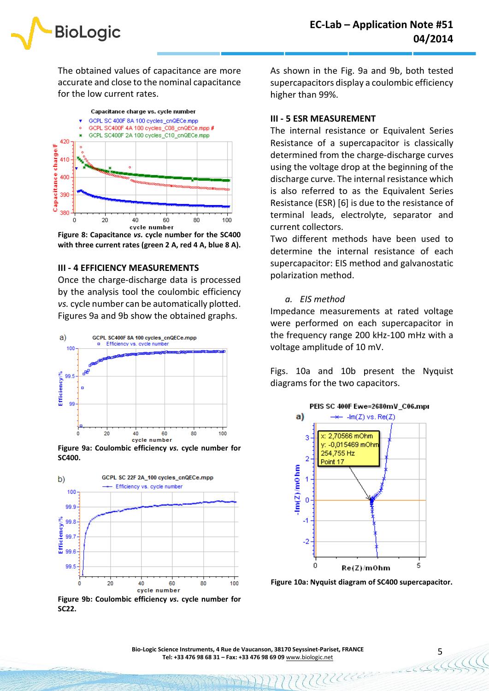

The obtained values of capacitance are more accurate and close to the nominal capacitance for the low current rates.



**Figure 8: Capacitance** *vs.* **cycle number for the SC400 with three current rates (green 2 A, red 4 A, blue 8 A).**

### **III - 4 EFFICIENCY MEASUREMENTS**

Once the charge-discharge data is processed by the analysis tool the coulombic efficiency *vs.* cycle number can be automatically plotted. Figures 9a and 9b show the obtained graphs.



**Figure 9a: Coulombic efficiency** *vs.* **cycle number for SC400.**



**Figure 9b: Coulombic efficiency** *vs.* **cycle number for SC22.**

As shown in the Fig. 9a and 9b, both tested supercapacitors display a coulombic efficiency higher than 99%.

### **III - 5 ESR MEASUREMENT**

The internal resistance or Equivalent Series Resistance of a supercapacitor is classically determined from the charge-discharge curves using the voltage drop at the beginning of the discharge curve. The internal resistance which is also referred to as the Equivalent Series Resistance (ESR) [6] is due to the resistance of terminal leads, electrolyte, separator and current collectors.

Two different methods have been used to determine the internal resistance of each supercapacitor: EIS method and galvanostatic polarization method.

*a. EIS method*

Impedance measurements at rated voltage were performed on each supercapacitor in the frequency range 200 kHz-100 mHz with a voltage amplitude of 10 mV.

Figs. 10a and 10b present the Nyquist diagrams for the two capacitors.



**Figure 10a: Nyquist diagram of SC400 supercapacitor.**

MUUR

5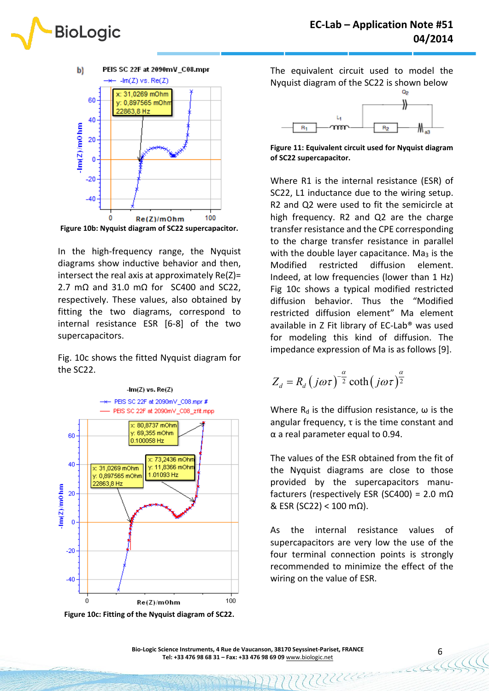



In the high-frequency range, the Nyquist diagrams show inductive behavior and then, intersect the real axis at approximately  $Re(Z)$ = 2.7 m $\Omega$  and 31.0 m $\Omega$  for SC400 and SC22. respectively. These values, also obtained by fitting the two diagrams, correspond to internal resistance ESR [6-8] of the two supercapacitors.

Fig. 10c shows the fitted Nyquist diagram for the SC22.



**Figure 10c: Fitting of the Nyquist diagram of SC22.**

The equivalent circuit used to model the Nyquist diagram of the SC22 is shown below



**Figure 11: Equivalent circuit used for Nyquist diagram of SC22 supercapacitor.**

Where R1 is the internal resistance (ESR) of SC22, L1 inductance due to the wiring setup. R2 and Q2 were used to fit the semicircle at high frequency. R2 and Q2 are the charge transfer resistance and the CPE corresponding to the charge transfer resistance in parallel with the double layer capacitance. Ma<sub>3</sub> is the Modified restricted diffusion element. Indeed, at low frequencies (lower than 1 Hz) Fig 10c shows a typical modified restricted diffusion behavior. Thus the "Modified restricted diffusion element" Ma element available in Z Fit library of EC-Lab® was used for modeling this kind of diffusion. The impedance expression of Ma is as follows [9].

$$
Z_d = R_d (j\omega\tau)^{-\frac{\alpha}{2}} \coth(j\omega\tau)^{\frac{\alpha}{2}}
$$

Where  $R_d$  is the diffusion resistance,  $\omega$  is the angular frequency, τ is the time constant and α a real parameter equal to 0.94.

The values of the ESR obtained from the fit of the Nyquist diagrams are close to those provided by the supercapacitors manufacturers (respectively ESR (SC400) = 2.0 m $\Omega$  $&$  ESR (SC22) < 100 mΩ).

As the internal resistance values of supercapacitors are very low the use of the four terminal connection points is strongly recommended to minimize the effect of the wiring on the value of ESR.

MUUUL

6

**Bio-Logic Science Instruments, 4 Rue de Vaucanson, 38170 Seyssinet-Pariset, FRANCE Tel: +33 476 98 68 31 – Fax: +33 476 98 69 09** [www.biologic.net](http://www.biologic.net/)